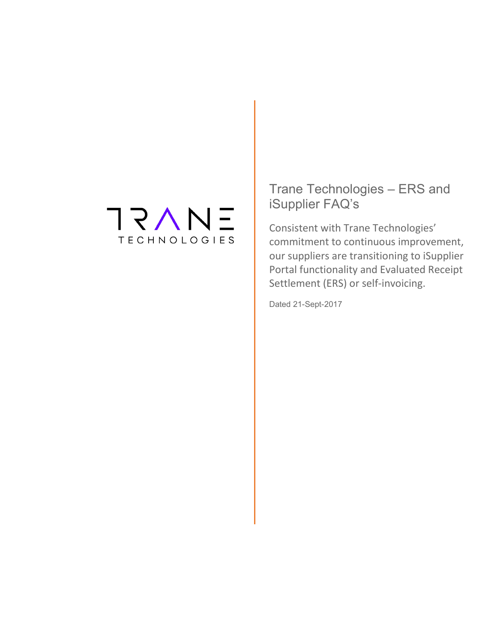## **TRAN**  $\qquad \qquad -$ **TECHNOLOGIES**

Trane Technologies – ERS and iSupplier FAQ's

Consistent with Trane Technologies' commitment to continuous improvement, our suppliers are transitioning to iSupplier Portal functionality and Evaluated Receipt Settlement (ERS) or self-invoicing.

Dated 21-Sept-2017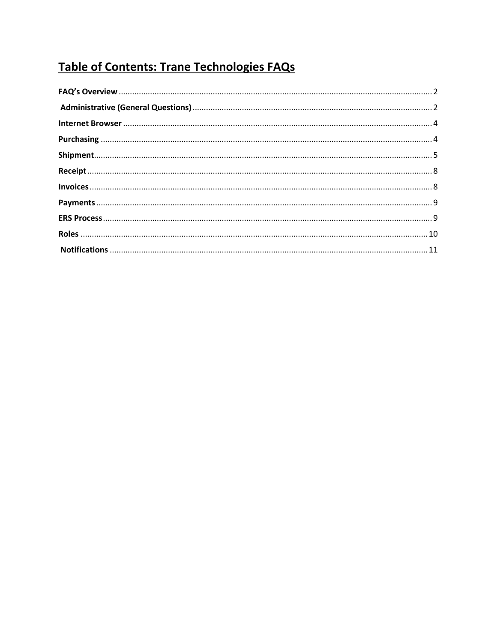# Table of Contents: Trane Technologies FAQs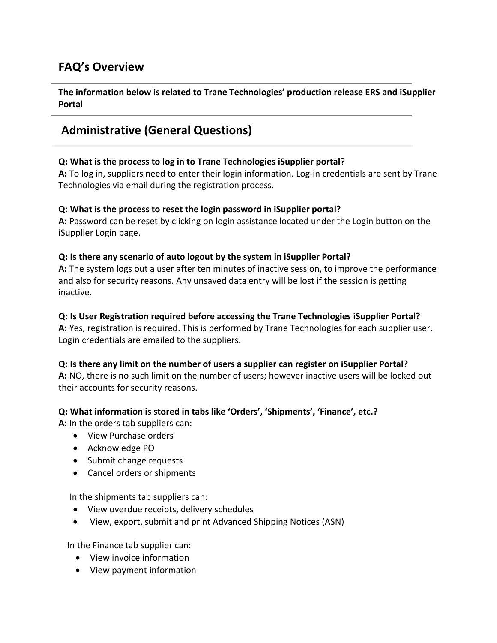## <span id="page-2-0"></span>**FAQ's Overview**

**The information below is related to Trane Technologies' production release ERS and iSupplier Portal**

# <span id="page-2-1"></span>**Administrative (General Questions)**

#### **Q: What is the process to log in to Trane Technologies iSupplier portal**?

**A:** To log in, suppliers need to enter their login information. Log-in credentials are sent by Trane Technologies via email during the registration process.

### **Q: What is the process to reset the login password in iSupplier portal?**

**A:** Password can be reset by clicking on login assistance located under the Login button on the iSupplier Login page.

### **Q: Is there any scenario of auto logout by the system in iSupplier Portal?**

**A:** The system logs out a user after ten minutes of inactive session, to improve the performance and also for security reasons. Any unsaved data entry will be lost if the session is getting inactive.

#### **Q: Is User Registration required before accessing the Trane Technologies iSupplier Portal?**

**A:** Yes, registration is required. This is performed by Trane Technologies for each supplier user. Login credentials are emailed to the suppliers.

#### **Q: Is there any limit on the number of users a supplier can register on iSupplier Portal?**

**A:** NO, there is no such limit on the number of users; however inactive users will be locked out their accounts for security reasons.

#### **Q: What information is stored in tabs like 'Orders', 'Shipments', 'Finance', etc.?**

**A:** In the orders tab suppliers can:

- View Purchase orders
- Acknowledge PO
- Submit change requests
- Cancel orders or shipments

In the shipments tab suppliers can:

- View overdue receipts, delivery schedules
- View, export, submit and print Advanced Shipping Notices (ASN)

In the Finance tab supplier can:

- View invoice information
- View payment information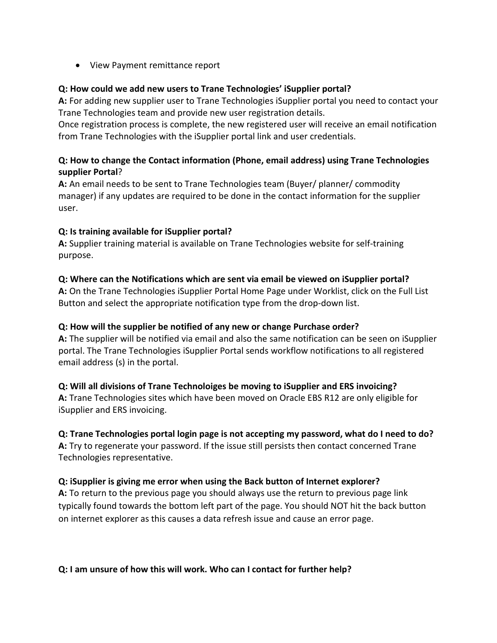• View Payment remittance report

### **Q: How could we add new users to Trane Technologies' iSupplier portal?**

**A:** For adding new supplier user to Trane Technologies iSupplier portal you need to contact your Trane Technologies team and provide new user registration details.

Once registration process is complete, the new registered user will receive an email notification from Trane Technologies with the iSupplier portal link and user credentials.

### **Q: How to change the Contact information (Phone, email address) using Trane Technologies supplier Portal**?

**A:** An email needs to be sent to Trane Technologies team (Buyer/ planner/ commodity manager) if any updates are required to be done in the contact information for the supplier user.

## **Q: Is training available for iSupplier portal?**

**A:** Supplier training material is available on Trane Technologies website for self-training purpose.

### **Q: Where can the Notifications which are sent via email be viewed on iSupplier portal?**

**A:** On the Trane Technologies iSupplier Portal Home Page under Worklist, click on the Full List Button and select the appropriate notification type from the drop-down list.

#### **Q: How will the supplier be notified of any new or change Purchase order?**

**A:** The supplier will be notified via email and also the same notification can be seen on iSupplier portal. The Trane Technologies iSupplier Portal sends workflow notifications to all registered email address (s) in the portal.

#### **Q: Will all divisions of Trane Technoloiges be moving to iSupplier and ERS invoicing?**

**A:** Trane Technologies sites which have been moved on Oracle EBS R12 are only eligible for iSupplier and ERS invoicing.

## **Q: Trane Technologies portal login page is not accepting my password, what do I need to do?**

**A:** Try to regenerate your password. If the issue still persists then contact concerned Trane Technologies representative.

#### **Q: iSupplier is giving me error when using the Back button of Internet explorer?**

**A:** To return to the previous page you should always use the return to previous page link typically found towards the bottom left part of the page. You should NOT hit the back button on internet explorer as this causes a data refresh issue and cause an error page.

#### **Q: I am unsure of how this will work. Who can I contact for further help?**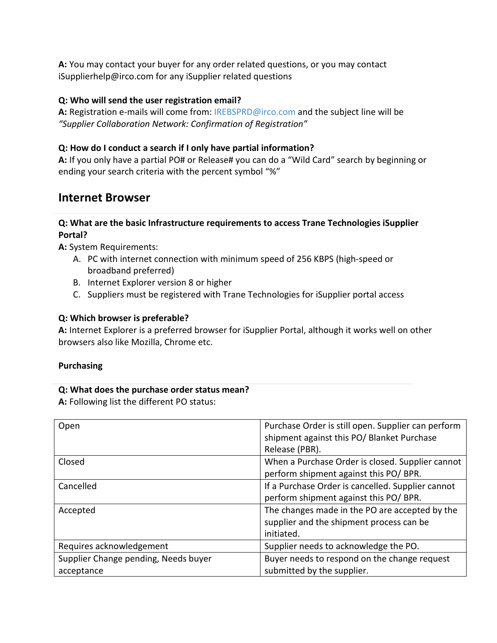**A:** You may contact your buyer for any order related questions, or you may contact iSupplierhelp@irco.com for any iSupplier related questions

#### **Q: Who will send the user registration email?**

**A:** Registration e-mails will come from[: IREBSPRD@irco.com](mailto:IREBSPRD@irco.com) and the subject line will be *"Supplier Collaboration Network: Confirmation of Registration"*

### **Q: How do I conduct a search if I only have partial information?**

**A:** If you only have a partial PO# or Release# you can do a "Wild Card" search by beginning or ending your search criteria with the percent symbol "%"

## <span id="page-4-0"></span>**Internet Browser**

#### **Q: What are the basic Infrastructure requirements to access Trane Technologies iSupplier Portal?**

**A:** System Requirements:

- A. PC with internet connection with minimum speed of 256 KBPS (high-speed or broadband preferred)
- B. Internet Explorer version 8 or higher
- C. Suppliers must be registered with Trane Technologies for iSupplier portal access

### **Q: Which browser is preferable?**

**A:** Internet Explorer is a preferred browser for iSupplier Portal, although it works well on other browsers also like Mozilla, Chrome etc.

#### <span id="page-4-1"></span>**Purchasing**

#### **Q: What does the purchase order status mean?**

**A:** Following list the different PO status:

| Open                                 | Purchase Order is still open. Supplier can perform<br>shipment against this PO/ Blanket Purchase<br>Release (PBR). |
|--------------------------------------|--------------------------------------------------------------------------------------------------------------------|
| Closed                               | When a Purchase Order is closed. Supplier cannot<br>perform shipment against this PO/ BPR.                         |
| Cancelled                            | If a Purchase Order is cancelled. Supplier cannot<br>perform shipment against this PO/ BPR.                        |
| Accepted                             | The changes made in the PO are accepted by the<br>supplier and the shipment process can be<br>initiated.           |
| Requires acknowledgement             | Supplier needs to acknowledge the PO.                                                                              |
| Supplier Change pending, Needs buyer | Buyer needs to respond on the change request                                                                       |
| acceptance                           | submitted by the supplier.                                                                                         |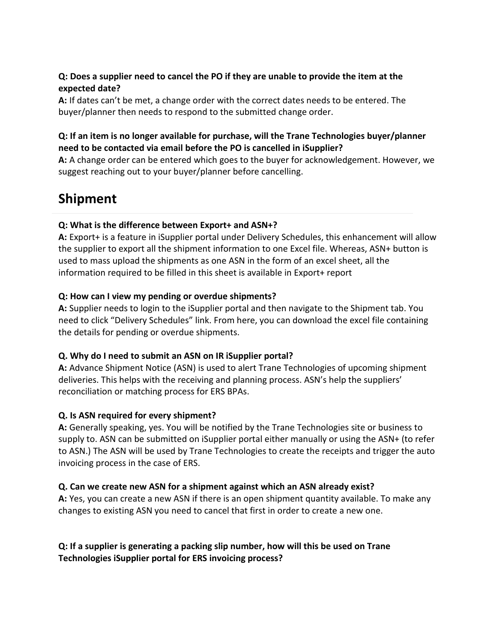#### **Q: Does a supplier need to cancel the PO if they are unable to provide the item at the expected date?**

**A:** If dates can't be met, a change order with the correct dates needs to be entered. The buyer/planner then needs to respond to the submitted change order.

### **Q: If an item is no longer available for purchase, will the Trane Technologies buyer/planner need to be contacted via email before the PO is cancelled in iSupplier?**

**A:** A change order can be entered which goes to the buyer for acknowledgement. However, we suggest reaching out to your buyer/planner before cancelling.

# <span id="page-5-0"></span>**Shipment**

### **Q: What is the difference between Export+ and ASN+?**

**A:** Export+ is a feature in iSupplier portal under Delivery Schedules, this enhancement will allow the supplier to export all the shipment information to one Excel file. Whereas, ASN+ button is used to mass upload the shipments as one ASN in the form of an excel sheet, all the information required to be filled in this sheet is available in Export+ report

### **Q: How can I view my pending or overdue shipments?**

**A:** Supplier needs to login to the iSupplier portal and then navigate to the Shipment tab. You need to click "Delivery Schedules" link. From here, you can download the excel file containing the details for pending or overdue shipments.

#### **Q. Why do I need to submit an ASN on IR iSupplier portal?**

**A:** Advance Shipment Notice (ASN) is used to alert Trane Technologies of upcoming shipment deliveries. This helps with the receiving and planning process. ASN's help the suppliers' reconciliation or matching process for ERS BPAs.

## **Q. Is ASN required for every shipment?**

**A:** Generally speaking, yes. You will be notified by the Trane Technologies site or business to supply to. ASN can be submitted on iSupplier portal either manually or using the ASN+ (to refer to ASN.) The ASN will be used by Trane Technologies to create the receipts and trigger the auto invoicing process in the case of ERS.

## **Q. Can we create new ASN for a shipment against which an ASN already exist?**

**A:** Yes, you can create a new ASN if there is an open shipment quantity available. To make any changes to existing ASN you need to cancel that first in order to create a new one.

## **Q: If a supplier is generating a packing slip number, how will this be used on Trane Technologies iSupplier portal for ERS invoicing process?**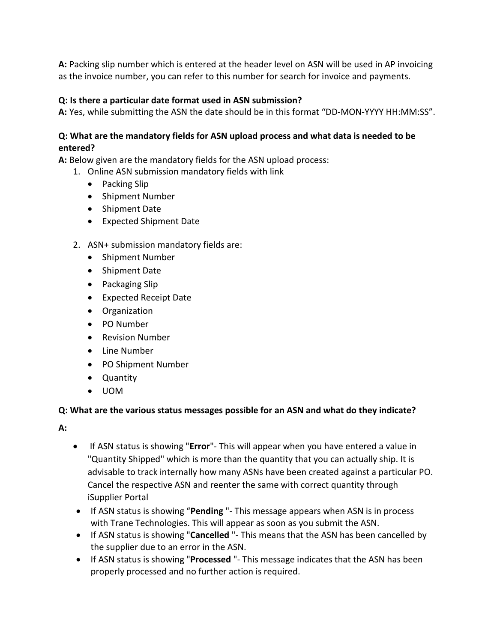**A:** Packing slip number which is entered at the header level on ASN will be used in AP invoicing as the invoice number, you can refer to this number for search for invoice and payments.

## **Q: Is there a particular date format used in ASN submission?**

**A:** Yes, while submitting the ASN the date should be in this format "DD-MON-YYYY HH:MM:SS".

### **Q: What are the mandatory fields for ASN upload process and what data is needed to be entered?**

**A:** Below given are the mandatory fields for the ASN upload process:

- 1. Online ASN submission mandatory fields with link
	- Packing Slip
	- Shipment Number
	- Shipment Date
	- Expected Shipment Date

#### 2. ASN+ submission mandatory fields are:

- Shipment Number
- Shipment Date
- Packaging Slip
- Expected Receipt Date
- Organization
- PO Number
- Revision Number
- Line Number
- PO Shipment Number
- Quantity
- UOM

#### **Q: What are the various status messages possible for an ASN and what do they indicate?**

**A:**

- If ASN status is showing "**Error**"- This will appear when you have entered a value in "Quantity Shipped" which is more than the quantity that you can actually ship. It is advisable to track internally how many ASNs have been created against a particular PO. Cancel the respective ASN and reenter the same with correct quantity through iSupplier Portal
- If ASN status is showing "**Pending** "- This message appears when ASN is in process with Trane Technologies. This will appear as soon as you submit the ASN.
- If ASN status is showing "**Cancelled** "- This means that the ASN has been cancelled by the supplier due to an error in the ASN.
- If ASN status is showing "**Processed** "- This message indicates that the ASN has been properly processed and no further action is required.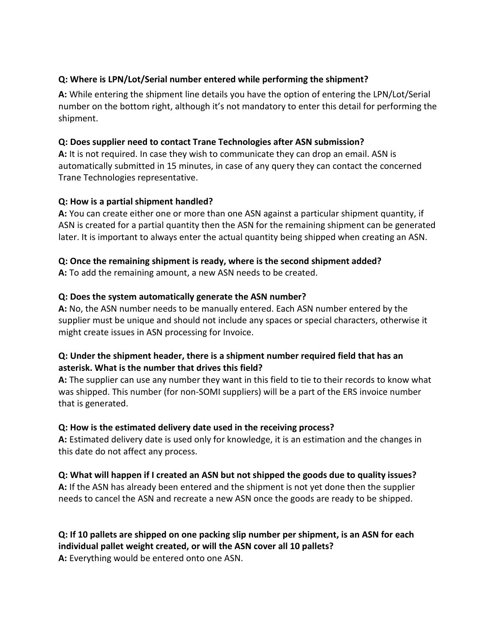#### **Q: Where is LPN/Lot/Serial number entered while performing the shipment?**

**A:** While entering the shipment line details you have the option of entering the LPN/Lot/Serial number on the bottom right, although it's not mandatory to enter this detail for performing the shipment.

#### **Q: Does supplier need to contact Trane Technologies after ASN submission?**

**A:** It is not required. In case they wish to communicate they can drop an email. ASN is automatically submitted in 15 minutes, in case of any query they can contact the concerned Trane Technologies representative.

#### **Q: How is a partial shipment handled?**

**A:** You can create either one or more than one ASN against a particular shipment quantity, if ASN is created for a partial quantity then the ASN for the remaining shipment can be generated later. It is important to always enter the actual quantity being shipped when creating an ASN.

### **Q: Once the remaining shipment is ready, where is the second shipment added?**

**A:** To add the remaining amount, a new ASN needs to be created.

### **Q: Does the system automatically generate the ASN number?**

**A:** No, the ASN number needs to be manually entered. Each ASN number entered by the supplier must be unique and should not include any spaces or special characters, otherwise it might create issues in ASN processing for Invoice.

#### **Q: Under the shipment header, there is a shipment number required field that has an asterisk. What is the number that drives this field?**

**A:** The supplier can use any number they want in this field to tie to their records to know what was shipped. This number (for non-SOMI suppliers) will be a part of the ERS invoice number that is generated.

#### **Q: How is the estimated delivery date used in the receiving process?**

**A:** Estimated delivery date is used only for knowledge, it is an estimation and the changes in this date do not affect any process.

## **Q: What will happen if I created an ASN but not shipped the goods due to quality issues?**

**A:** If the ASN has already been entered and the shipment is not yet done then the supplier needs to cancel the ASN and recreate a new ASN once the goods are ready to be shipped.

#### **Q: If 10 pallets are shipped on one packing slip number per shipment, is an ASN for each individual pallet weight created, or will the ASN cover all 10 pallets? A:** Everything would be entered onto one ASN.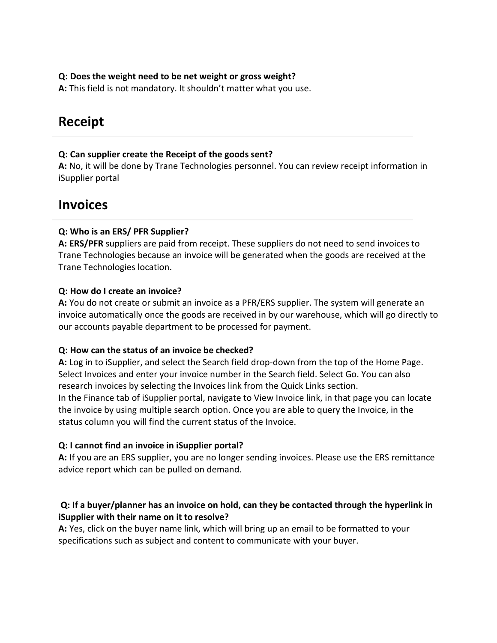#### **Q: Does the weight need to be net weight or gross weight?**

**A:** This field is not mandatory. It shouldn't matter what you use.

# <span id="page-8-0"></span>**Receipt**

#### **Q: Can supplier create the Receipt of the goods sent?**

**A:** No, it will be done by Trane Technologies personnel. You can review receipt information in iSupplier portal

## <span id="page-8-1"></span>**Invoices**

#### **Q: Who is an ERS/ PFR Supplier?**

**A: ERS/PFR** suppliers are paid from receipt. These suppliers do not need to send invoices to Trane Technologies because an invoice will be generated when the goods are received at the Trane Technologies location.

#### **Q: How do I create an invoice?**

**A:** You do not create or submit an invoice as a PFR/ERS supplier. The system will generate an invoice automatically once the goods are received in by our warehouse, which will go directly to our accounts payable department to be processed for payment.

#### **Q: How can the status of an invoice be checked?**

**A:** Log in to iSupplier, and select the Search field drop-down from the top of the Home Page. Select Invoices and enter your invoice number in the Search field. Select Go. You can also research invoices by selecting the Invoices link from the Quick Links section. In the Finance tab of iSupplier portal, navigate to View Invoice link, in that page you can locate

the invoice by using multiple search option. Once you are able to query the Invoice, in the status column you will find the current status of the Invoice.

#### **Q: I cannot find an invoice in iSupplier portal?**

**A:** If you are an ERS supplier, you are no longer sending invoices. Please use the ERS remittance advice report which can be pulled on demand.

#### **Q: If a buyer/planner has an invoice on hold, can they be contacted through the hyperlink in iSupplier with their name on it to resolve?**

**A:** Yes, click on the buyer name link, which will bring up an email to be formatted to your specifications such as subject and content to communicate with your buyer.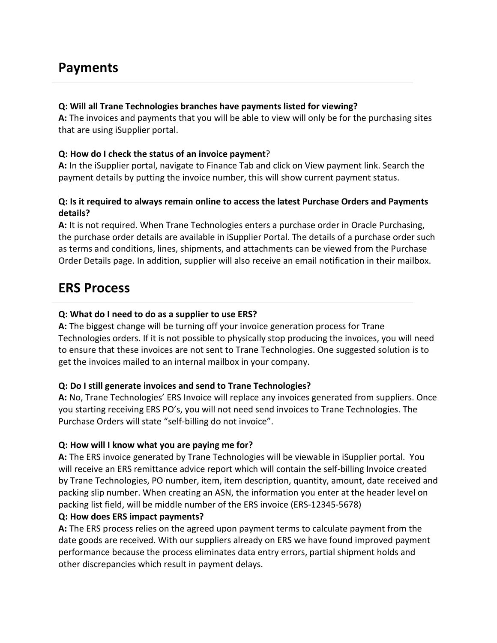# <span id="page-9-0"></span>**Payments**

#### **Q: Will all Trane Technologies branches have payments listed for viewing?**

**A:** The invoices and payments that you will be able to view will only be for the purchasing sites that are using iSupplier portal.

#### **Q: How do I check the status of an invoice payment**?

**A:** In the iSupplier portal, navigate to Finance Tab and click on View payment link. Search the payment details by putting the invoice number, this will show current payment status.

#### **Q: Is it required to always remain online to access the latest Purchase Orders and Payments details?**

**A:** It is not required. When Trane Technologies enters a purchase order in Oracle Purchasing, the purchase order details are available in iSupplier Portal. The details of a purchase order such as terms and conditions, lines, shipments, and attachments can be viewed from the Purchase Order Details page. In addition, supplier will also receive an email notification in their mailbox.

## <span id="page-9-1"></span>**ERS Process**

#### **Q: What do I need to do as a supplier to use ERS?**

**A:** The biggest change will be turning off your invoice generation process for Trane Technologies orders. If it is not possible to physically stop producing the invoices, you will need to ensure that these invoices are not sent to Trane Technologies. One suggested solution is to get the invoices mailed to an internal mailbox in your company.

#### **Q: Do I still generate invoices and send to Trane Technologies?**

**A:** No, Trane Technologies' ERS Invoice will replace any invoices generated from suppliers. Once you starting receiving ERS PO's, you will not need send invoices to Trane Technologies. The Purchase Orders will state "self-billing do not invoice".

#### **Q: How will I know what you are paying me for?**

**A:** The ERS invoice generated by Trane Technologies will be viewable in iSupplier portal. You will receive an ERS remittance advice report which will contain the self-billing Invoice created by Trane Technologies, PO number, item, item description, quantity, amount, date received and packing slip number. When creating an ASN, the information you enter at the header level on packing list field, will be middle number of the ERS invoice (ERS-12345-5678)

#### **Q: How does ERS impact payments?**

**A:** The ERS process relies on the agreed upon payment terms to calculate payment from the date goods are received. With our suppliers already on ERS we have found improved payment performance because the process eliminates data entry errors, partial shipment holds and other discrepancies which result in payment delays.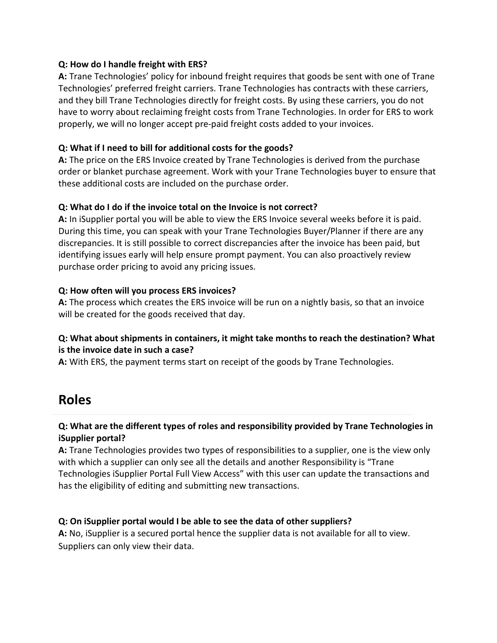#### **Q: How do I handle freight with ERS?**

**A:** Trane Technologies' policy for inbound freight requires that goods be sent with one of Trane Technologies' preferred freight carriers. Trane Technologies has contracts with these carriers, and they bill Trane Technologies directly for freight costs. By using these carriers, you do not have to worry about reclaiming freight costs from Trane Technologies. In order for ERS to work properly, we will no longer accept pre-paid freight costs added to your invoices.

#### **Q: What if I need to bill for additional costs for the goods?**

**A:** The price on the ERS Invoice created by Trane Technologies is derived from the purchase order or blanket purchase agreement. Work with your Trane Technologies buyer to ensure that these additional costs are included on the purchase order.

### **Q: What do I do if the invoice total on the Invoice is not correct?**

**A:** In iSupplier portal you will be able to view the ERS Invoice several weeks before it is paid. During this time, you can speak with your Trane Technologies Buyer/Planner if there are any discrepancies. It is still possible to correct discrepancies after the invoice has been paid, but identifying issues early will help ensure prompt payment. You can also proactively review purchase order pricing to avoid any pricing issues.

### **Q: How often will you process ERS invoices?**

**A:** The process which creates the ERS invoice will be run on a nightly basis, so that an invoice will be created for the goods received that day.

### **Q: What about shipments in containers, it might take months to reach the destination? What is the invoice date in such a case?**

**A:** With ERS, the payment terms start on receipt of the goods by Trane Technologies.

# <span id="page-10-0"></span>**Roles**

### **Q: What are the different types of roles and responsibility provided by Trane Technologies in iSupplier portal?**

**A:** Trane Technologies provides two types of responsibilities to a supplier, one is the view only with which a supplier can only see all the details and another Responsibility is "Trane Technologies iSupplier Portal Full View Access" with this user can update the transactions and has the eligibility of editing and submitting new transactions.

#### **Q: On iSupplier portal would I be able to see the data of other suppliers?**

**A:** No, iSupplier is a secured portal hence the supplier data is not available for all to view. Suppliers can only view their data.